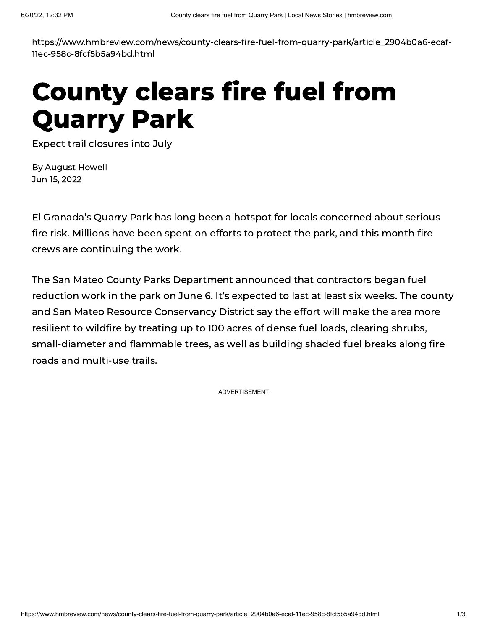https://www.hmbreview.com/news/county-clears-fire-fuel-from-quarry-park/article\_2904b0a6-ecaf-11ec-958c-8fcf5b5a94bd.html

## County clears fire fuel from Quarry Park

Expect trail closures into July

By [August](https://www.hmbreview.com/users/profile/August%20Howell) Howell Jun 15, 2022

El Granada's Quarry Park has long been a hotspot for locals concerned about serious fire risk. Millions have been spent on efforts to protect the park, and this month fire crews are continuing the work.

The San Mateo County Parks Department announced that contractors began fuel reduction work in the park on June 6. It's expected to last at least six weeks. The county and San Mateo Resource Conservancy District say the effort will make the area more resilient to wildfire by treating up to 100 acres of dense fuel loads, clearing shrubs, small-diameter and flammable trees, as well as building shaded fuel breaks along fire roads and multi-use trails.

ADVERTISEMENT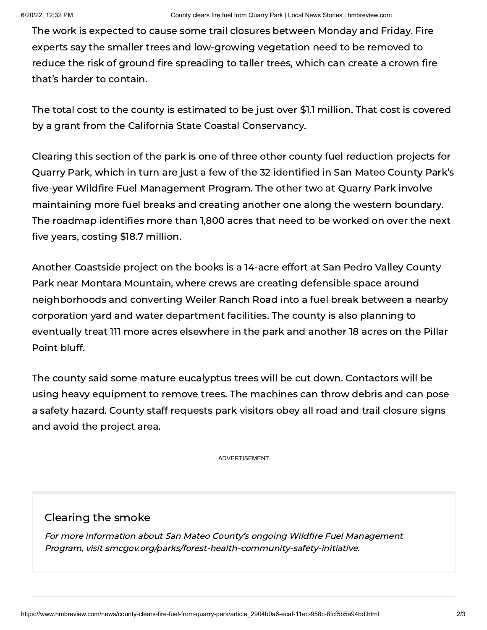The work is expected to cause some trail closures between Monday and Friday. Fire experts say the smaller trees and low-growing vegetation need to be removed to reduce the risk of ground fire spreading to taller trees, which can create a crown fire that's harder to contain.

The total cost to the county is estimated to be just over \$1.1 million. That cost is covered by a grant from the California State Coastal Conservancy.

Clearing this section of the park is one of three other county fuel reduction projects for Quarry Park, which in turn are just a few of the 32 identified in San Mateo County Park's five-year Wildfire Fuel Management Program. The other two at Quarry Park involve maintaining more fuel breaks and creating another one along the western boundary. The roadmap identifies more than 1,800 acres that need to be worked on over the next five years, costing \$18.7 million.

Another Coastside project on the books is a 14-acre effort at San Pedro Valley County Park near Montara Mountain, where crews are creating defensible space around neighborhoods and converting Weiler Ranch Road into a fuel break between a nearby corporation yard and water department facilities. The county is also planning to eventually treat 111 more acres elsewhere in the park and another 18 acres on the Pillar Point bluff.

The county said some mature eucalyptus trees will be cut down. Contactors will be using heavy equipment to remove trees. The machines can throw debris and can pose a safety hazard. County staff requests park visitors obey all road and trail closure signs and avoid the project area.

ADVERTISEMENT

## Clearing the smoke

For more information about San Mateo County's ongoing Wildfire Fuel Management Program, visit smcgov.org/parks/forest-health-community-safety-initiative.